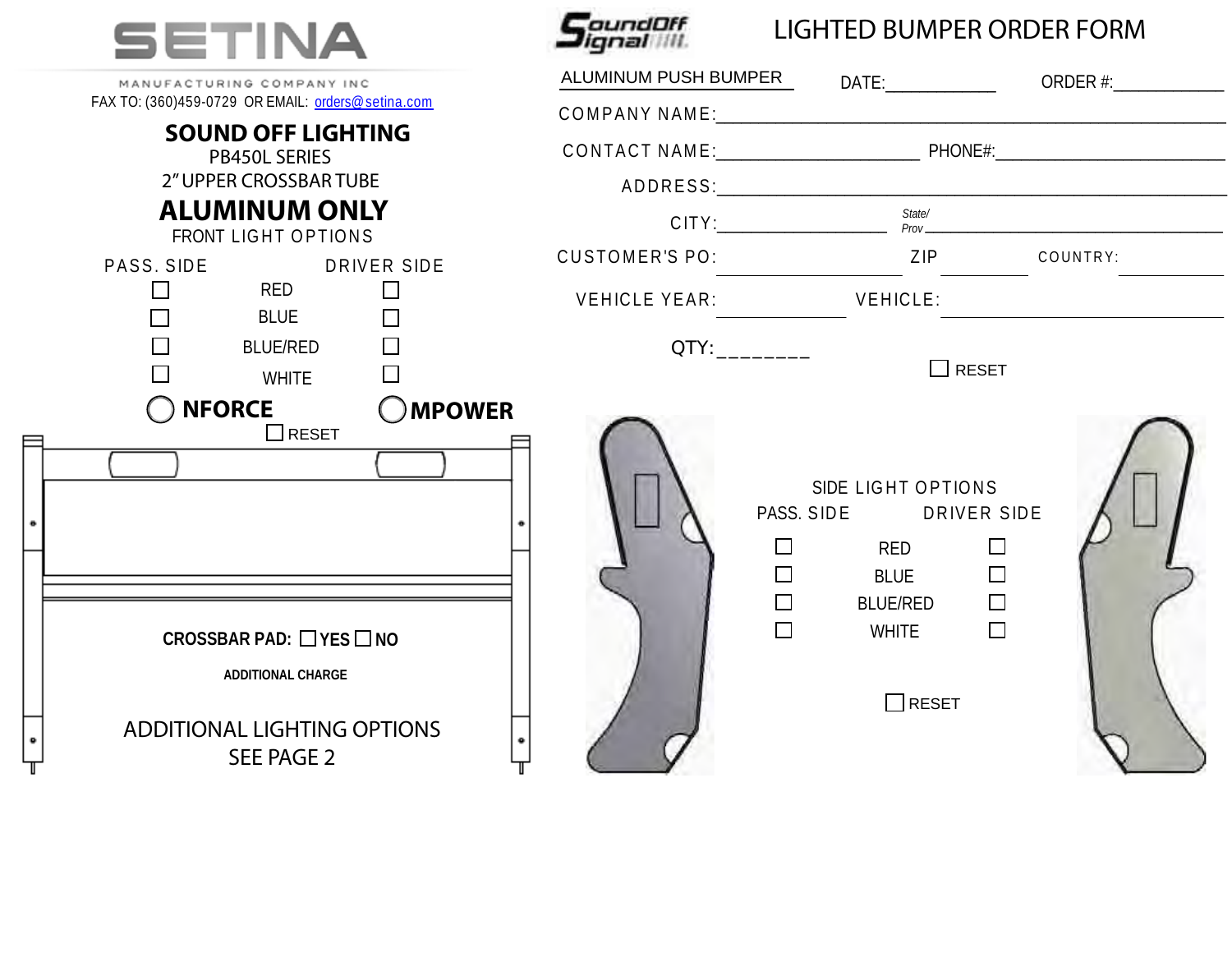

| MANUFACTURING COMPANY INC<br>FAX TO: (360)459-0729 OR EMAIL: orders@setina.com                                                   | ALUMINUM PUSH BUMPER DATE: DATE: ORDER #:                                                                                                                                                |  |
|----------------------------------------------------------------------------------------------------------------------------------|------------------------------------------------------------------------------------------------------------------------------------------------------------------------------------------|--|
| <b>SOUND OFF LIGHTING</b>                                                                                                        |                                                                                                                                                                                          |  |
| <b>PB450L SERIES</b>                                                                                                             |                                                                                                                                                                                          |  |
| 2" UPPER CROSSBAR TUBE                                                                                                           |                                                                                                                                                                                          |  |
| <b>ALUMINUM ONLY</b><br>FRONT LIGHT OPTIONS                                                                                      |                                                                                                                                                                                          |  |
| PASS. SIDE<br>DRIVER SIDE                                                                                                        | CUSTOMER'S PO: ZIP COUNTRY:                                                                                                                                                              |  |
| $\Box$<br><b>Example 18 RED</b><br>$\Box$<br>$\Box$<br><b>BLUE</b><br>$\Box$                                                     | VEHICLE YEAR: VEHICLE:                                                                                                                                                                   |  |
| $\Box$<br>BLUE/RED                                                                                                               | QTY:_____________                                                                                                                                                                        |  |
| $\Box$<br><b>WHITE</b>                                                                                                           | $\Box$ RESET                                                                                                                                                                             |  |
| <b>OMPOWER</b><br><b>NFORCE</b>                                                                                                  |                                                                                                                                                                                          |  |
| $\Box$ RESET<br>CROSSBAR PAD: $\Box$ YES $\Box$ NO<br>ADDITIONAL CHARGE<br><b>ADDITIONAL LIGHTING OPTIONS</b><br>۰<br>SEE PAGE 2 | SIDE LIGHT OPTIONS<br>PASS. SIDE DRIVER SIDE<br>$\Box$<br>$\Box$<br>RED<br>$\Box$<br>$\Box$<br><b>BLUE</b><br>$\Box$<br>$\Box$<br>BLUE/RED<br>$\Box$<br>$\Box$<br>WHITE<br>$\prod$ RESET |  |

*SeundDff* 

## LIGHTED BUMPER ORDER FORM